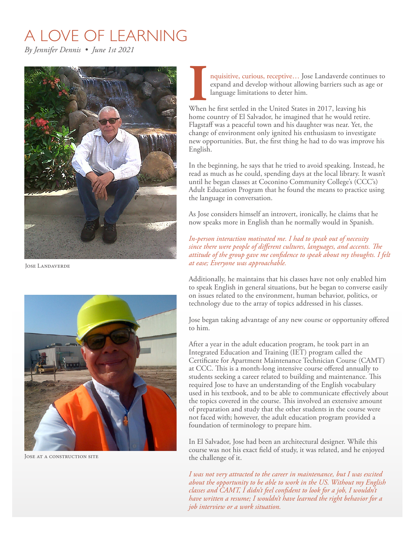## A LOVE OF LEARNING

*By Jennifer Dennis • June 1st 2021* 



Jose Landaverde



Jose at a construction site

**IQ**<br> **I** nquisitive, curious, receptive... Jose Landaverde contin<br>
expand and develop without allowing barriers such as a<br>
language limitations to deter him.<br>
When he first settled in the United States in 2017, leaving hi nquisitive, curious, receptive… Jose Landaverde continues to expand and develop without allowing barriers such as age or language limitations to deter him.

home country of El Salvador, he imagined that he would retire. Flagstaff was a peaceful town and his daughter was near. Yet, the change of environment only ignited his enthusiasm to investigate new opportunities. But, the frst thing he had to do was improve his English.

In the beginning, he says that he tried to avoid speaking. Instead, he read as much as he could, spending days at the local library. It wasn't until he began classes at Coconino Community College's (CCC's) Adult Education Program that he found the means to practice using the language in conversation.

As Jose considers himself an introvert, ironically, he claims that he now speaks more in English than he normally would in Spanish.

*In-person interaction motivated me. I had to speak out of necessity since there were people of diferent cultures, languages, and accents. Te attitude of the group gave me confdence to speak about my thoughts. I felt at ease; Everyone was approachable.* 

Additionally, he maintains that his classes have not only enabled him to speak English in general situations, but he began to converse easily on issues related to the environment, human behavior, politics, or technology due to the array of topics addressed in his classes.

Jose began taking advantage of any new course or opportunity ofered to him.

After a year in the adult education program, he took part in an Integrated Education and Training (IET) program called the Certifcate for Apartment Maintenance Technician Course (CAMT) at CCC. This is a month-long intensive course offered annually to students seeking a career related to building and maintenance. This required Jose to have an understanding of the English vocabulary used in his textbook, and to be able to communicate efectively about the topics covered in the course. This involved an extensive amount of preparation and study that the other students in the course were not faced with; however, the adult education program provided a foundation of terminology to prepare him.

In El Salvador, Jose had been an architectural designer. While this course was not his exact feld of study, it was related, and he enjoyed the challenge of it.

*I was not very attracted to the career in maintenance, but I was excited about the opportunity to be able to work in the US. Without my English classes and CAMT, I didn't feel confdent to look for a job, I wouldn't have written a resume; I wouldn't have learned the right behavior for a job interview or a work situation.*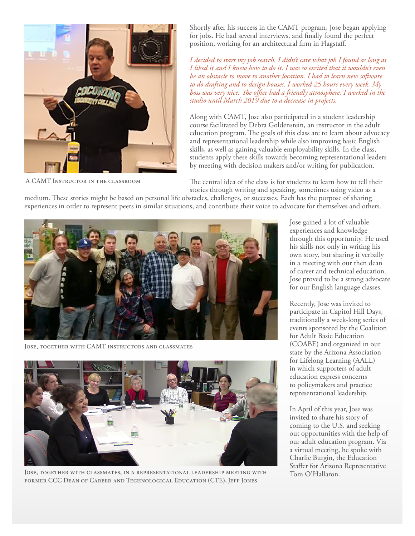

A CAMT Instructor in the classroom

Shortly after his success in the CAMT program, Jose began applying for jobs. He had several interviews, and fnally found the perfect position, working for an architectural frm in Flagstaf.

*I decided to start my job search. I didn't care what job I found as long as I liked it and I knew how to do it. I was so excited that it wouldn't even be an obstacle to move to another location. I had to learn new software to do drafting and to design houses. I worked 25 hours every week. My*  boss was very nice. The office had a friendly atmosphere. I worked in the *studio until March 2019 due to a decrease in projects.* 

Along with CAMT, Jose also participated in a student leadership course facilitated by Debra Goldenstein, an instructor in the adult education program. The goals of this class are to learn about advocacy and representational leadership while also improving basic English skills, as well as gaining valuable employability skills. In the class, students apply these skills towards becoming representational leaders by meeting with decision makers and/or writing for publication.

The central idea of the class is for students to learn how to tell their stories through writing and speaking, sometimes using video as a

medium. These stories might be based on personal life obstacles, challenges, or successes. Each has the purpose of sharing experiences in order to represent peers in similar situations, and contribute their voice to advocate for themselves and others.



Jose, together with CAMT instructors and classmates



Jose, together with classmates, in a representational leadership meeting with former CCC Dean of Career and Technological Education (CTE), Jeff Jones

Jose gained a lot of valuable experiences and knowledge through this opportunity. He used his skills not only in writing his own story, but sharing it verbally in a meeting with our then dean of career and technical education. Jose proved to be a strong advocate for our English language classes.

Recently, Jose was invited to participate in Capitol Hill Days, traditionally a week-long series of events sponsored by the Coalition for Adult Basic Education (COABE) and organized in our state by the Arizona Association for Lifelong Learning (AALL) in which supporters of adult education express concerns to policymakers and practice representational leadership.

In April of this year, Jose was invited to share his story of coming to the U.S. and seeking out opportunities with the help of our adult education program. Via a virtual meeting, he spoke with Charlie Burgin, the Education Stafer for Arizona Representative Tom O'Hallaron.